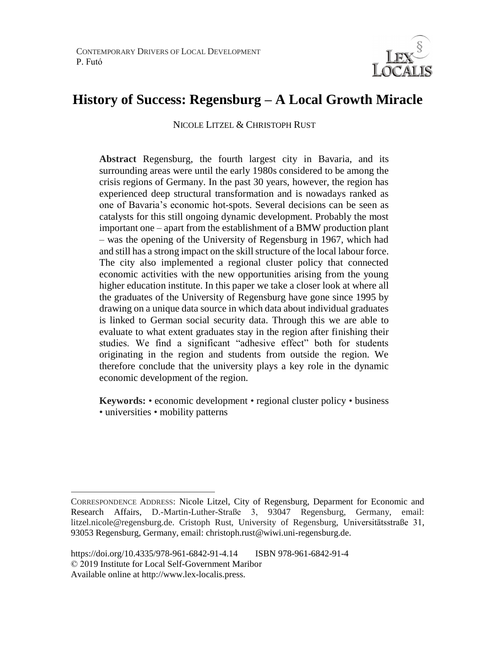

# **History of Success: Regensburg – A Local Growth Miracle**

NICOLE LITZEL & CHRISTOPH RUST

**Abstract** Regensburg, the fourth largest city in Bavaria, and its surrounding areas were until the early 1980s considered to be among the crisis regions of Germany. In the past 30 years, however, the region has experienced deep structural transformation and is nowadays ranked as one of Bavaria's economic hot-spots. Several decisions can be seen as catalysts for this still ongoing dynamic development. Probably the most important one – apart from the establishment of a BMW production plant – was the opening of the University of Regensburg in 1967, which had and still has a strong impact on the skill structure of the local labour force. The city also implemented a regional cluster policy that connected economic activities with the new opportunities arising from the young higher education institute. In this paper we take a closer look at where all the graduates of the University of Regensburg have gone since 1995 by drawing on a unique data source in which data about individual graduates is linked to German social security data. Through this we are able to evaluate to what extent graduates stay in the region after finishing their studies. We find a significant "adhesive effect" both for students originating in the region and students from outside the region. We therefore conclude that the university plays a key role in the dynamic economic development of the region.

**Keywords:** • economic development • regional cluster policy • business • universities • mobility patterns

 $\overline{a}$ CORRESPONDENCE ADDRESS: Nicole Litzel, City of Regensburg, Deparment for Economic and Research Affairs, D.-Martin-Luther-Straße 3, 93047 Regensburg, Germany, email: litzel.nicole@regensburg.de. Cristoph Rust, University of Regensburg, Universitätsstraße 31, 93053 Regensburg, Germany, email: christoph.rust@wiwi.uni-regensburg.de.

https://doi.org/10.4335/978-961-6842-91-4.14 ISBN 978-961-6842-91-4 © 2019 Institute for Local Self-Government Maribor Available online at http://www.lex-localis.press.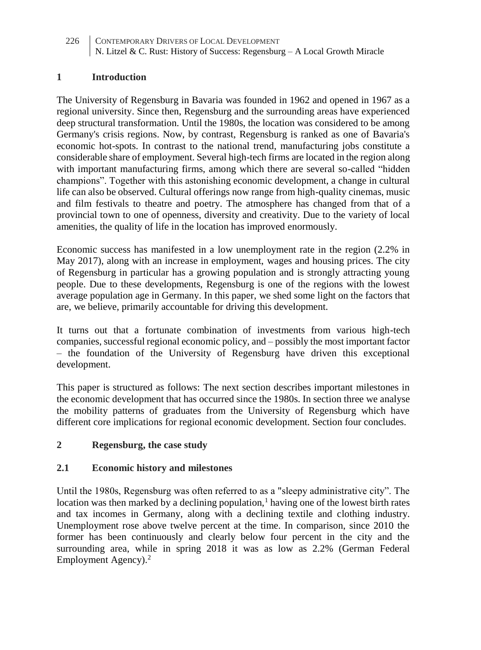## **1 Introduction**

The University of Regensburg in Bavaria was founded in 1962 and opened in 1967 as a regional university. Since then, Regensburg and the surrounding areas have experienced deep structural transformation. Until the 1980s, the location was considered to be among Germany's crisis regions. Now, by contrast, Regensburg is ranked as one of Bavaria's economic hot-spots. In contrast to the national trend, manufacturing jobs constitute a considerable share of employment. Several high-tech firms are located in the region along with important manufacturing firms, among which there are several so-called "hidden champions". Together with this astonishing economic development, a change in cultural life can also be observed. Cultural offerings now range from high-quality cinemas, music and film festivals to theatre and poetry. The atmosphere has changed from that of a provincial town to one of openness, diversity and creativity. Due to the variety of local amenities, the quality of life in the location has improved enormously.

Economic success has manifested in a low unemployment rate in the region (2.2% in May 2017), along with an increase in employment, wages and housing prices. The city of Regensburg in particular has a growing population and is strongly attracting young people. Due to these developments, Regensburg is one of the regions with the lowest average population age in Germany. In this paper, we shed some light on the factors that are, we believe, primarily accountable for driving this development.

It turns out that a fortunate combination of investments from various high-tech companies, successful regional economic policy, and – possibly the most important factor – the foundation of the University of Regensburg have driven this exceptional development.

This paper is structured as follows: The next section describes important milestones in the economic development that has occurred since the 1980s. In section three we analyse the mobility patterns of graduates from the University of Regensburg which have different core implications for regional economic development. Section four concludes.

# **2 Regensburg, the case study**

#### **2.1 Economic history and milestones**

Until the 1980s, Regensburg was often referred to as a "sleepy administrative city". The location was then marked by a declining population, $\frac{1}{2}$  having one of the lowest birth rates and tax incomes in Germany, along with a declining textile and clothing industry. Unemployment rose above twelve percent at the time. In comparison, since 2010 the former has been continuously and clearly below four percent in the city and the surrounding area, while in spring 2018 it was as low as 2.2% (German Federal Employment Agency).<sup>2</sup>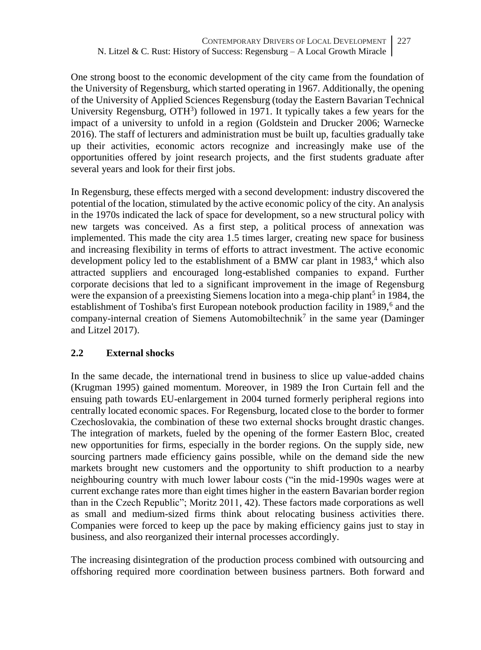One strong boost to the economic development of the city came from the foundation of the University of Regensburg, which started operating in 1967. Additionally, the opening of the University of Applied Sciences Regensburg (today the Eastern Bavarian Technical University Regensburg, OTH<sup>3</sup>) followed in 1971. It typically takes a few years for the impact of a university to unfold in a region (Goldstein and Drucker 2006; Warnecke 2016). The staff of lecturers and administration must be built up, faculties gradually take up their activities, economic actors recognize and increasingly make use of the opportunities offered by joint research projects, and the first students graduate after several years and look for their first jobs.

In Regensburg, these effects merged with a second development: industry discovered the potential of the location, stimulated by the active economic policy of the city. An analysis in the 1970s indicated the lack of space for development, so a new structural policy with new targets was conceived. As a first step, a political process of annexation was implemented. This made the city area 1.5 times larger, creating new space for business and increasing flexibility in terms of efforts to attract investment. The active economic development policy led to the establishment of a BMW car plant in 1983,<sup>4</sup> which also attracted suppliers and encouraged long-established companies to expand. Further corporate decisions that led to a significant improvement in the image of Regensburg were the expansion of a preexisting Siemens location into a mega-chip plant<sup>5</sup> in 1984, the establishment of Toshiba's first European notebook production facility in 1989,<sup>6</sup> and the company-internal creation of Siemens Automobiltechnik<sup>7</sup> in the same year (Daminger and Litzel 2017).

# **2.2 External shocks**

In the same decade, the international trend in business to slice up value-added chains (Krugman 1995) gained momentum. Moreover, in 1989 the Iron Curtain fell and the ensuing path towards EU-enlargement in 2004 turned formerly peripheral regions into centrally located economic spaces. For Regensburg, located close to the border to former Czechoslovakia, the combination of these two external shocks brought drastic changes. The integration of markets, fueled by the opening of the former Eastern Bloc, created new opportunities for firms, especially in the border regions. On the supply side, new sourcing partners made efficiency gains possible, while on the demand side the new markets brought new customers and the opportunity to shift production to a nearby neighbouring country with much lower labour costs ("in the mid-1990s wages were at current exchange rates more than eight times higher in the eastern Bavarian border region than in the Czech Republic"; Moritz 2011, 42). These factors made corporations as well as small and medium-sized firms think about relocating business activities there. Companies were forced to keep up the pace by making efficiency gains just to stay in business, and also reorganized their internal processes accordingly.

The increasing disintegration of the production process combined with outsourcing and offshoring required more coordination between business partners. Both forward and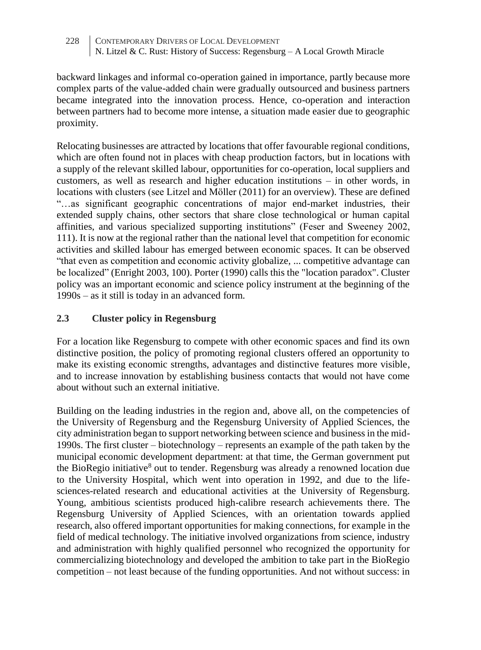backward linkages and informal co-operation gained in importance, partly because more complex parts of the value-added chain were gradually outsourced and business partners became integrated into the innovation process. Hence, co-operation and interaction between partners had to become more intense, a situation made easier due to geographic proximity.

Relocating businesses are attracted by locations that offer favourable regional conditions, which are often found not in places with cheap production factors, but in locations with a supply of the relevant skilled labour, opportunities for co-operation, local suppliers and customers, as well as research and higher education institutions – in other words, in locations with clusters (see Litzel and Möller (2011) for an overview). These are defined "…as significant geographic concentrations of major end-market industries, their extended supply chains, other sectors that share close technological or human capital affinities, and various specialized supporting institutions" (Feser and Sweeney 2002, 111). It is now at the regional rather than the national level that competition for economic activities and skilled labour has emerged between economic spaces. It can be observed "that even as competition and economic activity globalize, ... competitive advantage can be localized" (Enright 2003, 100). Porter (1990) calls this the "location paradox". Cluster policy was an important economic and science policy instrument at the beginning of the 1990s – as it still is today in an advanced form.

# **2.3 Cluster policy in Regensburg**

For a location like Regensburg to compete with other economic spaces and find its own distinctive position, the policy of promoting regional clusters offered an opportunity to make its existing economic strengths, advantages and distinctive features more visible, and to increase innovation by establishing business contacts that would not have come about without such an external initiative.

Building on the leading industries in the region and, above all, on the competencies of the University of Regensburg and the Regensburg University of Applied Sciences, the city administration began to support networking between science and business in the mid-1990s. The first cluster – biotechnology – represents an example of the path taken by the municipal economic development department: at that time, the German government put the BioRegio initiative<sup>8</sup> out to tender. Regensburg was already a renowned location due to the University Hospital, which went into operation in 1992, and due to the lifesciences-related research and educational activities at the University of Regensburg. Young, ambitious scientists produced high-calibre research achievements there. The Regensburg University of Applied Sciences, with an orientation towards applied research, also offered important opportunities for making connections, for example in the field of medical technology. The initiative involved organizations from science, industry and administration with highly qualified personnel who recognized the opportunity for commercializing biotechnology and developed the ambition to take part in the BioRegio competition – not least because of the funding opportunities. And not without success: in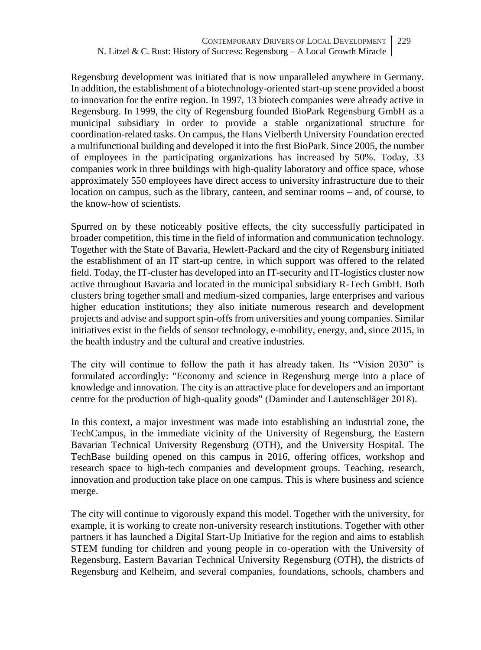Regensburg development was initiated that is now unparalleled anywhere in Germany. In addition, the establishment of a biotechnology-oriented start-up scene provided a boost to innovation for the entire region. In 1997, 13 biotech companies were already active in Regensburg. In 1999, the city of Regensburg founded BioPark Regensburg GmbH as a municipal subsidiary in order to provide a stable organizational structure for coordination-related tasks. On campus, the Hans Vielberth University Foundation erected a multifunctional building and developed it into the first BioPark. Since 2005, the number of employees in the participating organizations has increased by 50%. Today, 33 companies work in three buildings with high-quality laboratory and office space, whose approximately 550 employees have direct access to university infrastructure due to their location on campus, such as the library, canteen, and seminar rooms – and, of course, to the know-how of scientists.

Spurred on by these noticeably positive effects, the city successfully participated in broader competition, this time in the field of information and communication technology. Together with the State of Bavaria, Hewlett-Packard and the city of Regensburg initiated the establishment of an IT start-up centre, in which support was offered to the related field. Today, the IT-cluster has developed into an IT-security and IT-logistics cluster now active throughout Bavaria and located in the municipal subsidiary R-Tech GmbH. Both clusters bring together small and medium-sized companies, large enterprises and various higher education institutions; they also initiate numerous research and development projects and advise and support spin-offs from universities and young companies. Similar initiatives exist in the fields of sensor technology, e-mobility, energy, and, since 2015, in the health industry and the cultural and creative industries.

The city will continue to follow the path it has already taken. Its "Vision 2030" is formulated accordingly: "Economy and science in Regensburg merge into a place of knowledge and innovation. The city is an attractive place for developers and an important centre for the production of high-quality goods" (Daminder and Lautenschläger 2018).

In this context, a major investment was made into establishing an industrial zone, the TechCampus, in the immediate vicinity of the University of Regensburg, the Eastern Bavarian Technical University Regensburg (OTH), and the University Hospital. The TechBase building opened on this campus in 2016, offering offices, workshop and research space to high-tech companies and development groups. Teaching, research, innovation and production take place on one campus. This is where business and science merge.

The city will continue to vigorously expand this model. Together with the university, for example, it is working to create non-university research institutions. Together with other partners it has launched a Digital Start-Up Initiative for the region and aims to establish STEM funding for children and young people in co-operation with the University of Regensburg, Eastern Bavarian Technical University Regensburg (OTH), the districts of Regensburg and Kelheim, and several companies, foundations, schools, chambers and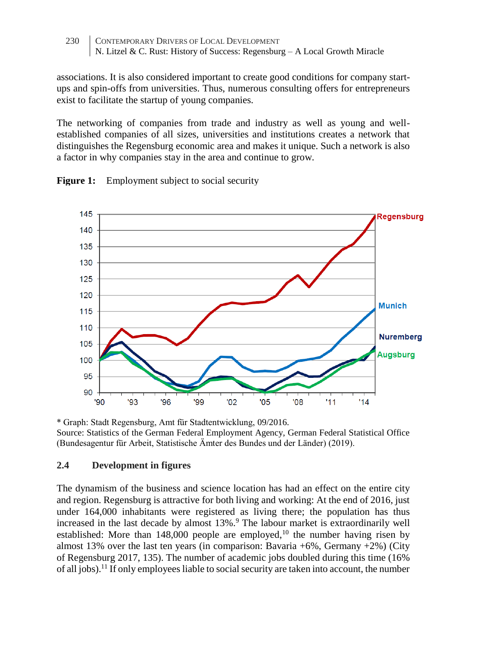associations. It is also considered important to create good conditions for company startups and spin-offs from universities. Thus, numerous consulting offers for entrepreneurs exist to facilitate the startup of young companies.

The networking of companies from trade and industry as well as young and wellestablished companies of all sizes, universities and institutions creates a network that distinguishes the Regensburg economic area and makes it unique. Such a network is also a factor in why companies stay in the area and continue to grow.



**Figure 1:** Employment subject to social security

\* Graph: Stadt Regensburg, Amt für Stadtentwicklung, 09/2016. Source: Statistics of the German Federal Employment Agency, German Federal Statistical Office (Bundesagentur für Arbeit, Statistische Ämter des Bundes und der Länder) (2019).

# **2.4 Development in figures**

The dynamism of the business and science location has had an effect on the entire city and region. Regensburg is attractive for both living and working: At the end of 2016, just under 164,000 inhabitants were registered as living there; the population has thus increased in the last decade by almost 13%.<sup>9</sup> The labour market is extraordinarily well established: More than  $148,000$  people are employed.<sup>10</sup> the number having risen by almost 13% over the last ten years (in comparison: Bavaria  $+6\%$ , Germany  $+2\%$ ) (City of Regensburg 2017, 135). The number of academic jobs doubled during this time (16% of all  $i$ obs).<sup>11</sup> If only employees liable to social security are taken into account, the number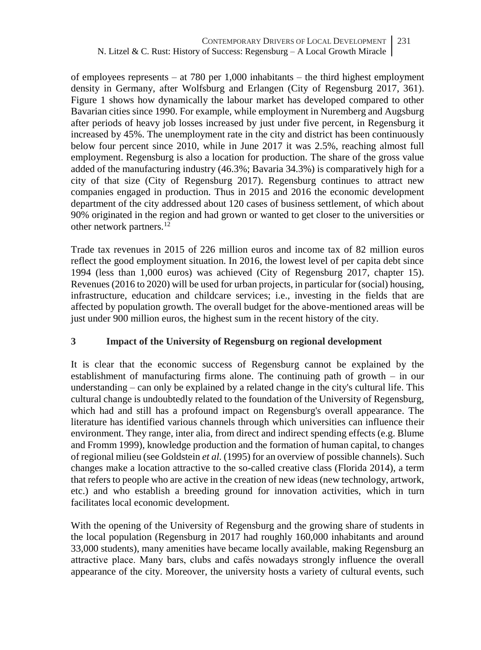of employees represents – at 780 per 1,000 inhabitants – the third highest employment density in Germany, after Wolfsburg and Erlangen (City of Regensburg 2017, 361). Figure 1 shows how dynamically the labour market has developed compared to other Bavarian cities since 1990. For example, while employment in Nuremberg and Augsburg after periods of heavy job losses increased by just under five percent, in Regensburg it increased by 45%. The unemployment rate in the city and district has been continuously below four percent since 2010, while in June 2017 it was 2.5%, reaching almost full employment. Regensburg is also a location for production. The share of the gross value added of the manufacturing industry (46.3%; Bavaria 34.3%) is comparatively high for a city of that size (City of Regensburg 2017). Regensburg continues to attract new companies engaged in production. Thus in 2015 and 2016 the economic development department of the city addressed about 120 cases of business settlement, of which about 90% originated in the region and had grown or wanted to get closer to the universities or other network partners.<sup>12</sup>

Trade tax revenues in 2015 of 226 million euros and income tax of 82 million euros reflect the good employment situation. In 2016, the lowest level of per capita debt since 1994 (less than 1,000 euros) was achieved (City of Regensburg 2017, chapter 15). Revenues (2016 to 2020) will be used for urban projects, in particular for (social) housing, infrastructure, education and childcare services; i.e., investing in the fields that are affected by population growth. The overall budget for the above-mentioned areas will be just under 900 million euros, the highest sum in the recent history of the city.

# **3 Impact of the University of Regensburg on regional development**

It is clear that the economic success of Regensburg cannot be explained by the establishment of manufacturing firms alone. The continuing path of growth – in our understanding – can only be explained by a related change in the city's cultural life. This cultural change is undoubtedly related to the foundation of the University of Regensburg, which had and still has a profound impact on Regensburg's overall appearance. The literature has identified various channels through which universities can influence their environment. They range, inter alia, from direct and indirect spending effects (e.g. Blume and Fromm 1999), knowledge production and the formation of human capital, to changes of regional milieu (see Goldstein *et al.* (1995) for an overview of possible channels). Such changes make a location attractive to the so-called creative class (Florida 2014), a term that refers to people who are active in the creation of new ideas (new technology, artwork, etc.) and who establish a breeding ground for innovation activities, which in turn facilitates local economic development.

With the opening of the University of Regensburg and the growing share of students in the local population (Regensburg in 2017 had roughly 160,000 inhabitants and around 33,000 students), many amenities have became locally available, making Regensburg an attractive place. Many bars, clubs and cafés nowadays strongly influence the overall appearance of the city. Moreover, the university hosts a variety of cultural events, such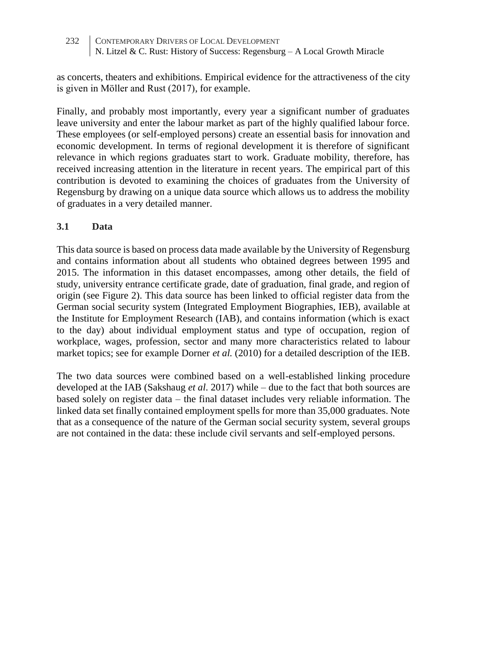as concerts, theaters and exhibitions. Empirical evidence for the attractiveness of the city is given in Möller and Rust (2017), for example.

Finally, and probably most importantly, every year a significant number of graduates leave university and enter the labour market as part of the highly qualified labour force. These employees (or self-employed persons) create an essential basis for innovation and economic development. In terms of regional development it is therefore of significant relevance in which regions graduates start to work. Graduate mobility, therefore, has received increasing attention in the literature in recent years. The empirical part of this contribution is devoted to examining the choices of graduates from the University of Regensburg by drawing on a unique data source which allows us to address the mobility of graduates in a very detailed manner.

### **3.1 Data**

This data source is based on process data made available by the University of Regensburg and contains information about all students who obtained degrees between 1995 and 2015. The information in this dataset encompasses, among other details, the field of study, university entrance certificate grade, date of graduation, final grade, and region of origin (see Figure 2). This data source has been linked to official register data from the German social security system (Integrated Employment Biographies, IEB), available at the Institute for Employment Research (IAB), and contains information (which is exact to the day) about individual employment status and type of occupation, region of workplace, wages, profession, sector and many more characteristics related to labour market topics; see for example Dorner *et al.* (2010) for a detailed description of the IEB.

The two data sources were combined based on a well-established linking procedure developed at the IAB (Sakshaug *et al*. 2017) while – due to the fact that both sources are based solely on register data – the final dataset includes very reliable information. The linked data set finally contained employment spells for more than 35,000 graduates. Note that as a consequence of the nature of the German social security system, several groups are not contained in the data: these include civil servants and self-employed persons.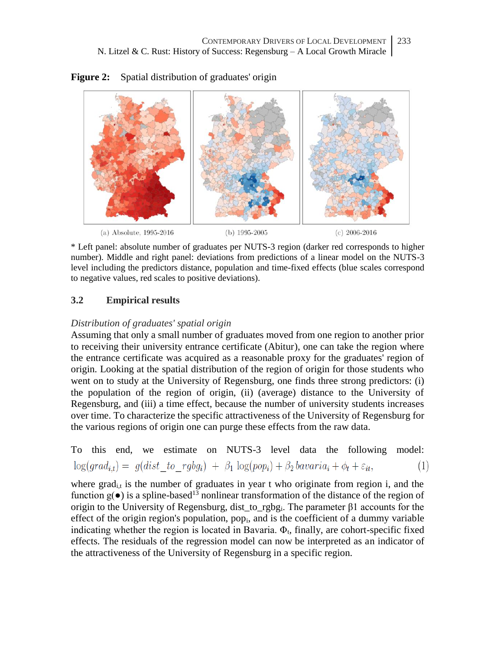

**Figure 2:** Spatial distribution of graduates' origin

\* Left panel: absolute number of graduates per NUTS-3 region (darker red corresponds to higher number). Middle and right panel: deviations from predictions of a linear model on the NUTS-3 level including the predictors distance, population and time-fixed effects (blue scales correspond to negative values, red scales to positive deviations).

# **3.2 Empirical results**

### *Distribution of graduates' spatial origin*

Assuming that only a small number of graduates moved from one region to another prior to receiving their university entrance certificate (Abitur), one can take the region where the entrance certificate was acquired as a reasonable proxy for the graduates' region of origin. Looking at the spatial distribution of the region of origin for those students who went on to study at the University of Regensburg, one finds three strong predictors: (i) the population of the region of origin, (ii) (average) distance to the University of Regensburg, and (iii) a time effect, because the number of university students increases over time. To characterize the specific attractiveness of the University of Regensburg for the various regions of origin one can purge these effects from the raw data.

To this end, we estimate on NUTS-3 level data the following model:  $\log(grad_{it}) = g(dist \ to \ rgbg_i) + \beta_1 \log(pop_i) + \beta_2 bavaria_i + \phi_t + \varepsilon_{it},$  $(1)$ 

where grad<sub>it</sub> is the number of graduates in year t who originate from region i, and the function  $g(\bullet)$  is a spline-based<sup>13</sup> nonlinear transformation of the distance of the region of origin to the University of Regensburg, dist to rgbg<sub>i</sub>. The parameter  $\beta$ 1 accounts for the effect of the origin region's population, pop<sub>i</sub>, and is the coefficient of a dummy variable indicating whether the region is located in Bavaria.  $\Phi_t$ , finally, are cohort-specific fixed effects. The residuals of the regression model can now be interpreted as an indicator of the attractiveness of the University of Regensburg in a specific region.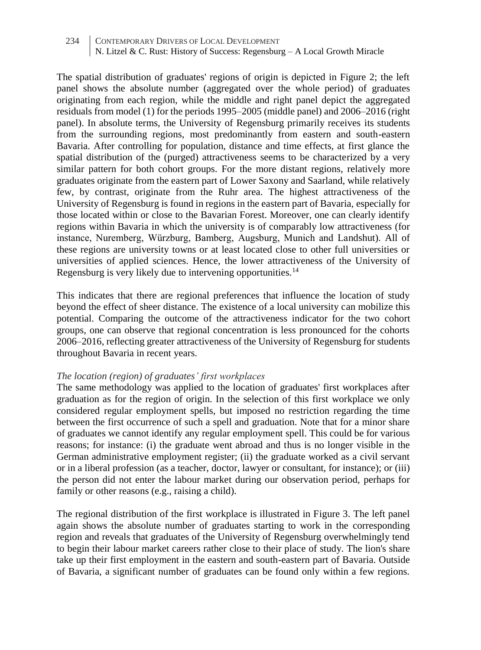The spatial distribution of graduates' regions of origin is depicted in Figure 2; the left panel shows the absolute number (aggregated over the whole period) of graduates originating from each region, while the middle and right panel depict the aggregated residuals from model (1) for the periods 1995–2005 (middle panel) and 2006–2016 (right panel). In absolute terms, the University of Regensburg primarily receives its students from the surrounding regions, most predominantly from eastern and south-eastern Bavaria. After controlling for population, distance and time effects, at first glance the spatial distribution of the (purged) attractiveness seems to be characterized by a very similar pattern for both cohort groups. For the more distant regions, relatively more graduates originate from the eastern part of Lower Saxony and Saarland, while relatively few, by contrast, originate from the Ruhr area. The highest attractiveness of the University of Regensburg is found in regions in the eastern part of Bavaria, especially for those located within or close to the Bavarian Forest. Moreover, one can clearly identify regions within Bavaria in which the university is of comparably low attractiveness (for instance, Nuremberg, Würzburg, Bamberg, Augsburg, Munich and Landshut). All of these regions are university towns or at least located close to other full universities or universities of applied sciences. Hence, the lower attractiveness of the University of Regensburg is very likely due to intervening opportunities.<sup>14</sup>

This indicates that there are regional preferences that influence the location of study beyond the effect of sheer distance. The existence of a local university can mobilize this potential. Comparing the outcome of the attractiveness indicator for the two cohort groups, one can observe that regional concentration is less pronounced for the cohorts 2006–2016, reflecting greater attractiveness of the University of Regensburg for students throughout Bavaria in recent years.

#### *The location (region) of graduates' first workplaces*

The same methodology was applied to the location of graduates' first workplaces after graduation as for the region of origin. In the selection of this first workplace we only considered regular employment spells, but imposed no restriction regarding the time between the first occurrence of such a spell and graduation. Note that for a minor share of graduates we cannot identify any regular employment spell. This could be for various reasons; for instance: (i) the graduate went abroad and thus is no longer visible in the German administrative employment register; (ii) the graduate worked as a civil servant or in a liberal profession (as a teacher, doctor, lawyer or consultant, for instance); or (iii) the person did not enter the labour market during our observation period, perhaps for family or other reasons (e.g., raising a child).

The regional distribution of the first workplace is illustrated in Figure 3. The left panel again shows the absolute number of graduates starting to work in the corresponding region and reveals that graduates of the University of Regensburg overwhelmingly tend to begin their labour market careers rather close to their place of study. The lion's share take up their first employment in the eastern and south-eastern part of Bavaria. Outside of Bavaria, a significant number of graduates can be found only within a few regions.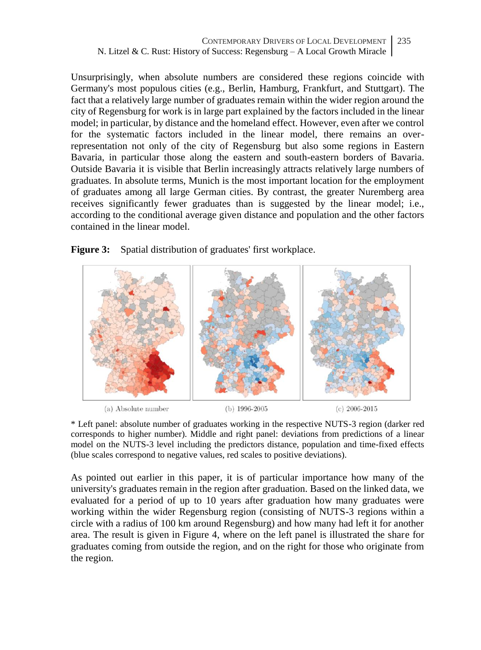CONTEMPORARY DRIVERS OF LOCAL DEVELOPMENT N. Litzel & C. Rust: History of Success: Regensburg – A Local Growth Miracle 235

Unsurprisingly, when absolute numbers are considered these regions coincide with Germany's most populous cities (e.g., Berlin, Hamburg, Frankfurt, and Stuttgart). The fact that a relatively large number of graduates remain within the wider region around the city of Regensburg for work is in large part explained by the factors included in the linear model; in particular, by distance and the homeland effect. However, even after we control for the systematic factors included in the linear model, there remains an overrepresentation not only of the city of Regensburg but also some regions in Eastern Bavaria, in particular those along the eastern and south-eastern borders of Bavaria. Outside Bavaria it is visible that Berlin increasingly attracts relatively large numbers of graduates. In absolute terms, Munich is the most important location for the employment of graduates among all large German cities. By contrast, the greater Nuremberg area receives significantly fewer graduates than is suggested by the linear model; i.e., according to the conditional average given distance and population and the other factors contained in the linear model.





(a) Absolute number

 $(b)$  1996-2005

 $(c)$  2006-2015

\* Left panel: absolute number of graduates working in the respective NUTS-3 region (darker red corresponds to higher number). Middle and right panel: deviations from predictions of a linear model on the NUTS-3 level including the predictors distance, population and time-fixed effects (blue scales correspond to negative values, red scales to positive deviations).

As pointed out earlier in this paper, it is of particular importance how many of the university's graduates remain in the region after graduation. Based on the linked data, we evaluated for a period of up to 10 years after graduation how many graduates were working within the wider Regensburg region (consisting of NUTS-3 regions within a circle with a radius of 100 km around Regensburg) and how many had left it for another area. The result is given in Figure 4, where on the left panel is illustrated the share for graduates coming from outside the region, and on the right for those who originate from the region.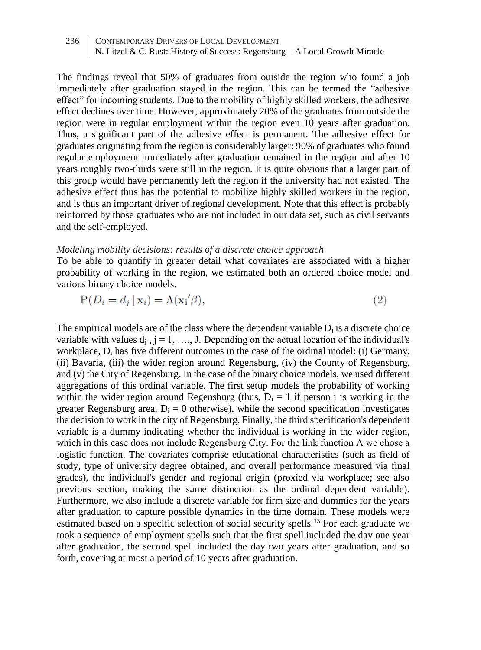236 CONTEMPORARY DRIVERS OF LOCAL DEVELOPMENT N. Litzel & C. Rust: History of Success: Regensburg – A Local Growth Miracle

The findings reveal that 50% of graduates from outside the region who found a job immediately after graduation stayed in the region. This can be termed the "adhesive effect" for incoming students. Due to the mobility of highly skilled workers, the adhesive effect declines over time. However, approximately 20% of the graduates from outside the region were in regular employment within the region even 10 years after graduation. Thus, a significant part of the adhesive effect is permanent. The adhesive effect for graduates originating from the region is considerably larger: 90% of graduates who found regular employment immediately after graduation remained in the region and after 10 years roughly two-thirds were still in the region. It is quite obvious that a larger part of this group would have permanently left the region if the university had not existed. The adhesive effect thus has the potential to mobilize highly skilled workers in the region, and is thus an important driver of regional development. Note that this effect is probably reinforced by those graduates who are not included in our data set, such as civil servants and the self-employed.

#### *Modeling mobility decisions: results of a discrete choice approach*

To be able to quantify in greater detail what covariates are associated with a higher probability of working in the region, we estimated both an ordered choice model and various binary choice models.

$$
P(D_i = d_j | \mathbf{x}_i) = \Lambda(\mathbf{x}_i / \beta),\tag{2}
$$

The empirical models are of the class where the dependent variable  $D_i$  is a discrete choice variable with values  $d_i$ ,  $j = 1, \ldots, J$ . Depending on the actual location of the individual's workplace,  $D_i$  has five different outcomes in the case of the ordinal model: (i) Germany, (ii) Bavaria, (iii) the wider region around Regensburg, (iv) the County of Regensburg, and (v) the City of Regensburg. In the case of the binary choice models, we used different aggregations of this ordinal variable. The first setup models the probability of working within the wider region around Regensburg (thus,  $D_i = 1$  if person i is working in the greater Regensburg area,  $D_i = 0$  otherwise), while the second specification investigates the decision to work in the city of Regensburg. Finally, the third specification's dependent variable is a dummy indicating whether the individual is working in the wider region, which in this case does not include Regensburg City. For the link function  $\Lambda$  we chose a logistic function. The covariates comprise educational characteristics (such as field of study, type of university degree obtained, and overall performance measured via final grades), the individual's gender and regional origin (proxied via workplace; see also previous section, making the same distinction as the ordinal dependent variable). Furthermore, we also include a discrete variable for firm size and dummies for the years after graduation to capture possible dynamics in the time domain. These models were estimated based on a specific selection of social security spells.<sup>15</sup> For each graduate we took a sequence of employment spells such that the first spell included the day one year after graduation, the second spell included the day two years after graduation, and so forth, covering at most a period of 10 years after graduation.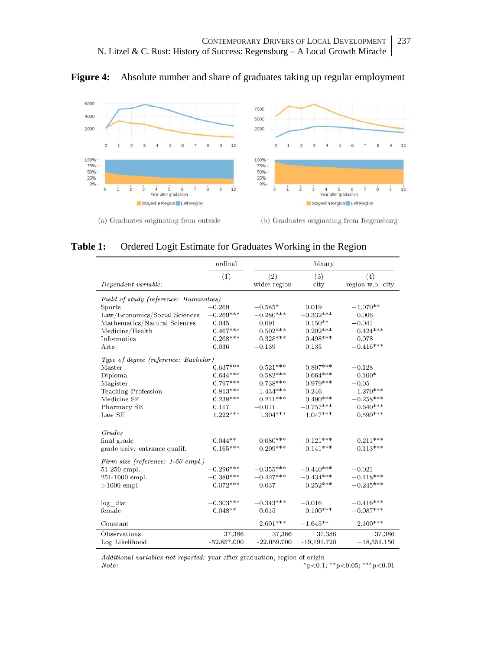



**Table 1:** Ordered Logit Estimate for Graduates Working in the Region

|                                        | ordinal       | binary        |               |                  |
|----------------------------------------|---------------|---------------|---------------|------------------|
|                                        | (1)           | (2)           | (3)           | (4)              |
| Dependent variable:                    |               | wider region  | city          | region w.o. city |
| Field of study (reference: Humanities) |               |               |               |                  |
| Sports                                 | $-0.269$      | $-0.585*$     | 0.019         | $-1.070**$       |
| Law/Economics/Social Sciences          | $-0.269***$   | $-0.280***$   | $-0.332***$   | 0.006            |
| Mathematics/Natural Sciences           | 0.045         | 0.091         | $0.150**$     | $-0.041$         |
| Medicine/Health                        | $0.467***$    | $0.502***$    | $0.292***$    | $0.424***$       |
| Informatics                            | $-0.268***$   | $-0.328***$   | $-0.498***$   | 0.078            |
| Arts                                   | 0.036         | $-0.139$      | 0.135         | $-0.416***$      |
| Type of degree (reference: Bachelor)   |               |               |               |                  |
| Master                                 | $0.637***$    | $0.521***$    | $0.807***$    | $-0.128$         |
| Diploma                                | $0.644***$    | $0.582***$    | $0.664***$    | $0.100*$         |
| Magister                               | $0.797***$    | $0.738***$    | $0.979***$    | $-0.05$          |
| Teaching Profession                    | $0.813***$    | $1.434***$    | 0.246         | $1.270***$       |
| Medicine SE                            | $0.238***$    | $0.211***$    | $0.490***$    | $-0.258***$      |
| Pharmacy SE                            | 0.117         | $-0.011$      | $-0.757***$   | $0.640***$       |
| Law SE                                 | $1.222***$    | $1.304***$    | $1.047***$    | $0.590***$       |
|                                        |               |               |               |                  |
| Grades                                 | $0.044**$     | $0.080***$    | $-0.121***$   | $0.211***$       |
| final grade                            | $0.165***$    | $0.209***$    | $0.141***$    | $0.113***$       |
| grade univ. entrance qualif.           |               |               |               |                  |
| Firm size (reference: 1-50 empl.)      |               |               |               |                  |
| $51-250$ empl.                         | $-0.296***$   | $-0.355***$   | $-0.440***$   | $-0.021$         |
| 251-1000 empl.                         | $-0.380***$   | $-0.427***$   | $-0.434***$   | $-0.118***$      |
| $>1000$ empl                           | $0.072***$    | 0.037         | $0.252***$    | $-0.245***$      |
| log dist                               | $-0.303***$   | $-0.343***$   | $-0.016$      | $-0.416***$      |
| female                                 | $0.048**$     | 0.015         | $0.100***$    | $-0.087***$      |
|                                        |               |               |               |                  |
| Constant                               |               | $2.601***$    | $-1.645**$    | $2.100***$       |
| Observations                           | 37,386        | 37,386        | 37,386        | 37,386           |
| Log Likelihood                         | $-52,857.090$ | $-22,059.700$ | $-19,191.720$ | $-18,551.150$    |

Additional variables not reported: year after graduation, region of origin  $\it Note:$ \*p<0.1; \*\*p<0.05; \*\*\*p<0.01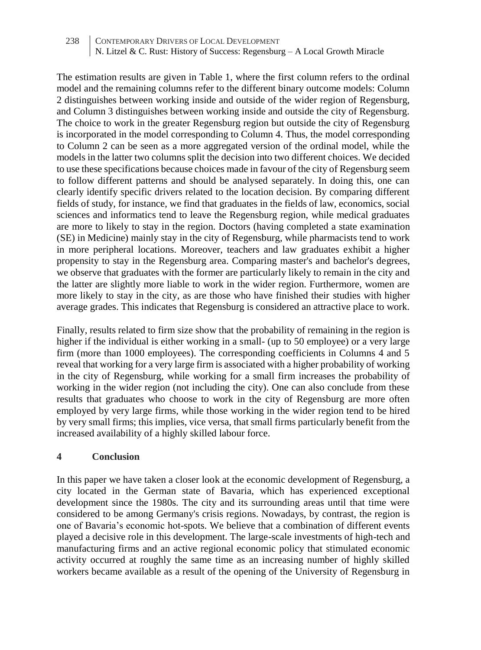The estimation results are given in Table 1, where the first column refers to the ordinal model and the remaining columns refer to the different binary outcome models: Column 2 distinguishes between working inside and outside of the wider region of Regensburg, and Column 3 distinguishes between working inside and outside the city of Regensburg. The choice to work in the greater Regensburg region but outside the city of Regensburg is incorporated in the model corresponding to Column 4. Thus, the model corresponding to Column 2 can be seen as a more aggregated version of the ordinal model, while the models in the latter two columns split the decision into two different choices. We decided to use these specifications because choices made in favour of the city of Regensburg seem to follow different patterns and should be analysed separately. In doing this, one can clearly identify specific drivers related to the location decision. By comparing different fields of study, for instance, we find that graduates in the fields of law, economics, social sciences and informatics tend to leave the Regensburg region, while medical graduates are more to likely to stay in the region. Doctors (having completed a state examination (SE) in Medicine) mainly stay in the city of Regensburg, while pharmacists tend to work in more peripheral locations. Moreover, teachers and law graduates exhibit a higher propensity to stay in the Regensburg area. Comparing master's and bachelor's degrees, we observe that graduates with the former are particularly likely to remain in the city and the latter are slightly more liable to work in the wider region. Furthermore, women are more likely to stay in the city, as are those who have finished their studies with higher average grades. This indicates that Regensburg is considered an attractive place to work.

Finally, results related to firm size show that the probability of remaining in the region is higher if the individual is either working in a small- (up to 50 employee) or a very large firm (more than 1000 employees). The corresponding coefficients in Columns 4 and 5 reveal that working for a very large firm is associated with a higher probability of working in the city of Regensburg, while working for a small firm increases the probability of working in the wider region (not including the city). One can also conclude from these results that graduates who choose to work in the city of Regensburg are more often employed by very large firms, while those working in the wider region tend to be hired by very small firms; this implies, vice versa, that small firms particularly benefit from the increased availability of a highly skilled labour force.

#### **4 Conclusion**

In this paper we have taken a closer look at the economic development of Regensburg, a city located in the German state of Bavaria, which has experienced exceptional development since the 1980s. The city and its surrounding areas until that time were considered to be among Germany's crisis regions. Nowadays, by contrast, the region is one of Bavaria's economic hot-spots. We believe that a combination of different events played a decisive role in this development. The large-scale investments of high-tech and manufacturing firms and an active regional economic policy that stimulated economic activity occurred at roughly the same time as an increasing number of highly skilled workers became available as a result of the opening of the University of Regensburg in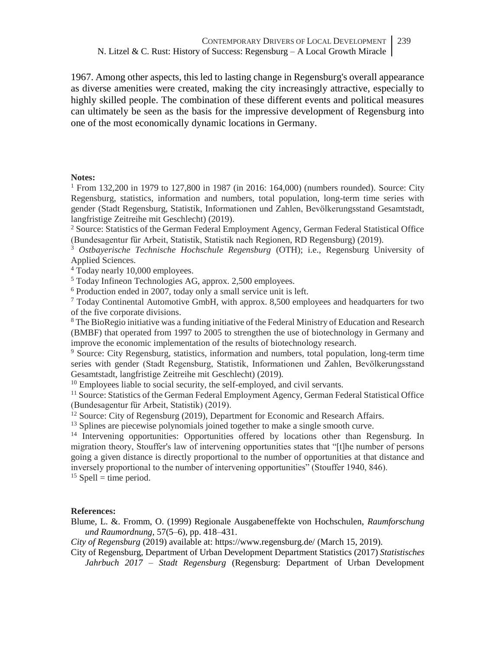1967. Among other aspects, this led to lasting change in Regensburg's overall appearance as diverse amenities were created, making the city increasingly attractive, especially to highly skilled people. The combination of these different events and political measures can ultimately be seen as the basis for the impressive development of Regensburg into one of the most economically dynamic locations in Germany.

#### **Notes:**

 $1$  From 132,200 in 1979 to 127,800 in 1987 (in 2016: 164,000) (numbers rounded). Source: City Regensburg, statistics, information and numbers, total population, long-term time series with gender (Stadt Regensburg, Statistik, Informationen und Zahlen, Bevölkerungsstand Gesamtstadt, langfristige Zeitreihe mit Geschlecht) (2019).

<sup>2</sup> Source: Statistics of the German Federal Employment Agency, German Federal Statistical Office (Bundesagentur für Arbeit, Statistik, Statistik nach Regionen, RD Regensburg) (2019).

<sup>3</sup> *Ostbayerische Technische Hochschule Regensburg* (OTH); i.e., Regensburg University of Applied Sciences.

<sup>4</sup> Today nearly 10,000 employees.

<sup>5</sup> Today Infineon Technologies AG, approx. 2,500 employees.

<sup>6</sup> Production ended in 2007, today only a small service unit is left.

<sup>7</sup> Today Continental Automotive GmbH, with approx. 8,500 employees and headquarters for two of the five corporate divisions.

<sup>8</sup> The BioRegio initiative was a funding initiative of the Federal Ministry of Education and Research (BMBF) that operated from 1997 to 2005 to strengthen the use of biotechnology in Germany and improve the economic implementation of the results of biotechnology research.

<sup>9</sup> Source: City Regensburg, statistics, information and numbers, total population, long-term time series with gender (Stadt Regensburg, Statistik, Informationen und Zahlen, Bevölkerungsstand Gesamtstadt, langfristige Zeitreihe mit Geschlecht) (2019).

 $10$  Employees liable to social security, the self-employed, and civil servants.

<sup>11</sup> Source: Statistics of the German Federal Employment Agency, German Federal Statistical Office (Bundesagentur für Arbeit, Statistik) (2019).

<sup>12</sup> Source: City of Regensburg (2019), Department for Economic and Research Affairs.

<sup>13</sup> Splines are piecewise polynomials joined together to make a single smooth curve.

<sup>14</sup> Intervening opportunities: Opportunities offered by locations other than Regensburg. In migration theory, Stouffer's law of intervening opportunities states that "[t]he number of persons going a given distance is directly proportional to the number of opportunities at that distance and inversely proportional to the number of intervening opportunities" (Stouffer 1940, 846).  $15$  Spell = time period.

#### **References:**

Blume, L. &. Fromm, O. (1999) Regionale Ausgabeneffekte von Hochschulen, *Raumforschung und Raumordnung,* 57(5–6), pp. 418–431.

*City of Regensburg* (2019) available at: https://www.regensburg.de/ (March 15, 2019).

City of Regensburg, Department of Urban Development Department Statistics (2017) *Statistisches Jahrbuch 2017 – Stadt Regensburg* (Regensburg: Department of Urban Development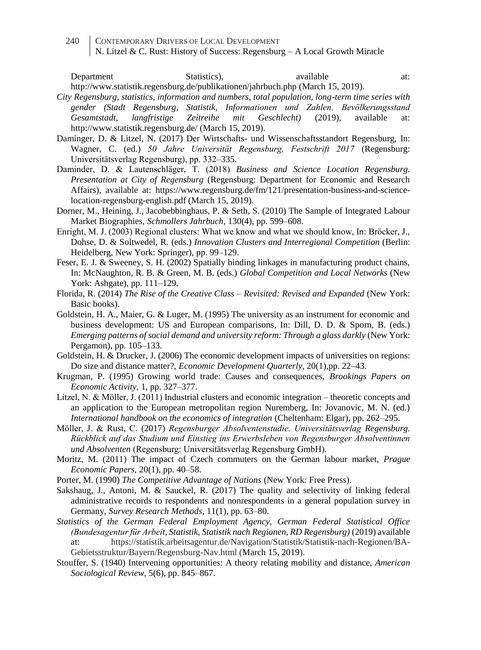Department Statistics), available at:

http://www.statistik.regensburg.de/publikationen/jahrbuch.php (March 15, 2019).

- *City Regensburg, statistics, information and numbers, total population, long-term time series with gender (Stadt Regensburg, Statistik, Informationen und Zahlen, Bevölkerungsstand Gesamtstadt, langfristige Zeitreihe mit Geschlecht)* (2019), available at: http://www.statistik.regensburg.de/ (March 15, 2019).
- Daminger, D. & Litzel, N. (2017) Der Wirtschafts- und Wissenschaftsstandort Regensburg, In: Wagner, C. (ed.) *50 Jahre Universität Regensburg, Festschrift 2017* (Regensburg: Universitätsverlag Regensburg), pp. 332–335.
- Daminder, D. & Lautenschläger, T. (2018) *Business and Science Location Regensburg. Presentation at City of Regensburg* (Regensburg: Department for Economic and Research Affairs), available at: https://www.regensburg.de/fm/121/presentation-business-and-sciencelocation-regensburg-english.pdf (March 15, 2019).
- Dorner, M., Heining, J., Jacobebbinghaus, P. & Seth, S. (2010) The Sample of Integrated Labour Market Biographies, *Schmollers Jahrbuch,* 130(4), pp. 599–608.
- Enright, M. J. (2003) Regional clusters: What we know and what we should know, In: Bröcker, J., Dohse, D. & Soltwedel, R. (eds.) *Innovation Clusters and Interregional Competition* (Berlin: Heidelberg, New York: Springer), pp. 99–129.
- Feser, E. J. & Sweeney, S. H. (2002) Spatially binding linkages in manufacturing product chains, In: McNaughton, R. B. & Green, M. B. (eds.) *Global Competition and Local Networks* (New York: Ashgate), pp. 111–129.
- Florida, R. (2014) *The Rise of the Creative Class – Revisited: Revised and Expanded* (New York: Basic books).
- Goldstein, H. A., Maier, G. & Luger, M. (1995) The university as an instrument for economic and business development: US and European comparisons, In: Dill, D. D. & Sporn, B. (eds.) *Emerging patterns of social demand and university reform: Through a glass darkly* (New York: Pergamon), pp. 105–133.
- Goldstein, H. & Drucker, J. (2006) The economic development impacts of universities on regions: Do size and distance matter?, *Economic Development Quarterly,* 20(1),pp. 22–43.
- Krugman, P. (1995) Growing world trade: Causes and consequences, *Brookings Papers on Economic Activity,* 1, pp. 327–377.
- Litzel, N. & Möller, J. (2011) Industrial clusters and economic integration theoretic concepts and an application to the European metropolitan region Nuremberg, In: Jovanovic, M. N. (ed.) *International handbook on the economics of integration* (Cheltenham: Elgar), pp. 262–295.
- Möller, J. & Rust, C. (2017) *Regensburger Absolventenstudie. Universitätsverlag Regensburg. Rückblick auf das Studium und Einstieg ins Erwerbsleben von Regensburger Absolventinnen und Absolventen* (Regensburg: Universitätsverlag Regensburg GmbH).
- Moritz, M. (2011) The impact of Czech commuters on the German labour market, *Prague Economic Papers,* 20(1), pp. 40–58.
- Porter, M. (1990) *The Competitive Advantage of Nations* (New York: Free Press).
- Sakshaug, J., Antoni, M. & Sauckel, R. (2017) The quality and selectivity of linking federal administrative records to respondents and nonrespondents in a general population survey in Germany, *Survey Research Methods,* 11(1), pp. 63–80.
- *Statistics of the German Federal Employment Agency, German Federal Statistical Office (Bundesagentur für Arbeit, Statistik, Statistik nach Regionen, RD Regensburg)* (2019) available at: https://statistik.arbeitsagentur.de/Navigation/Statistik/Statistik-nach-Regionen/BA-Gebietsstruktur/Bayern/Regensburg-Nav.html (March 15, 2019).
- Stouffer, S. (1940) Intervening opportunities: A theory relating mobility and distance, *American Sociological Review,* 5(6), pp. 845–867.